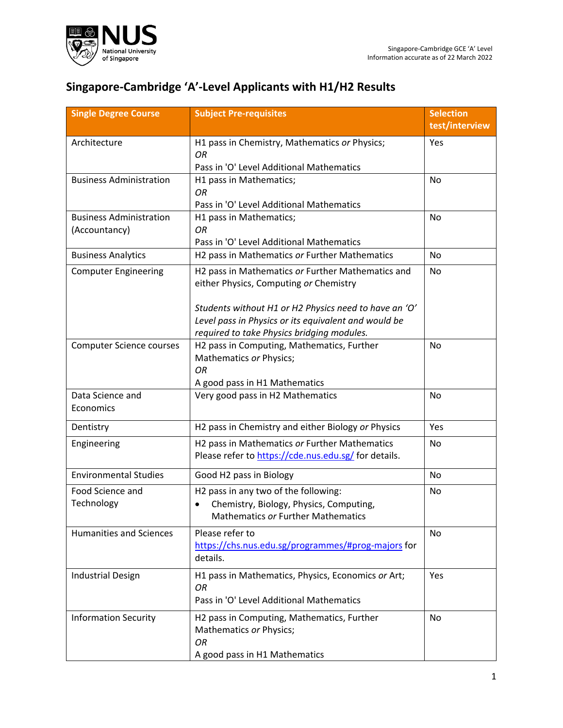

## **Singapore-Cambridge 'A'-Level Applicants with H1/H2 Results**

| <b>Single Degree Course</b>                     | <b>Subject Pre-requisites</b>                                                                                                                                                                                                                              | <b>Selection</b><br>test/interview |
|-------------------------------------------------|------------------------------------------------------------------------------------------------------------------------------------------------------------------------------------------------------------------------------------------------------------|------------------------------------|
| Architecture                                    | H1 pass in Chemistry, Mathematics or Physics;<br>OR<br>Pass in 'O' Level Additional Mathematics                                                                                                                                                            | Yes                                |
| <b>Business Administration</b>                  | H1 pass in Mathematics;<br>OR<br>Pass in 'O' Level Additional Mathematics                                                                                                                                                                                  | No                                 |
| <b>Business Administration</b><br>(Accountancy) | H1 pass in Mathematics;<br>OR<br>Pass in 'O' Level Additional Mathematics                                                                                                                                                                                  | No                                 |
| <b>Business Analytics</b>                       | H2 pass in Mathematics or Further Mathematics                                                                                                                                                                                                              | No                                 |
| <b>Computer Engineering</b>                     | H2 pass in Mathematics or Further Mathematics and<br>either Physics, Computing or Chemistry<br>Students without H1 or H2 Physics need to have an 'O'<br>Level pass in Physics or its equivalent and would be<br>required to take Physics bridging modules. | No                                 |
| <b>Computer Science courses</b>                 | H2 pass in Computing, Mathematics, Further<br>Mathematics or Physics;<br>OR<br>A good pass in H1 Mathematics                                                                                                                                               | No                                 |
| Data Science and<br>Economics                   | Very good pass in H2 Mathematics                                                                                                                                                                                                                           | No                                 |
| Dentistry                                       | H2 pass in Chemistry and either Biology or Physics                                                                                                                                                                                                         | Yes                                |
| Engineering                                     | H2 pass in Mathematics or Further Mathematics<br>Please refer to https://cde.nus.edu.sg/ for details.                                                                                                                                                      | <b>No</b>                          |
| <b>Environmental Studies</b>                    | Good H2 pass in Biology                                                                                                                                                                                                                                    | No                                 |
| Food Science and<br>Technology                  | H2 pass in any two of the following:<br>Chemistry, Biology, Physics, Computing,<br><b>Mathematics or Further Mathematics</b>                                                                                                                               | No                                 |
| <b>Humanities and Sciences</b>                  | Please refer to<br>https://chs.nus.edu.sg/programmes/#prog-majors for<br>details.                                                                                                                                                                          | No                                 |
| <b>Industrial Design</b>                        | H1 pass in Mathematics, Physics, Economics or Art;<br>OR<br>Pass in 'O' Level Additional Mathematics                                                                                                                                                       | Yes                                |
| <b>Information Security</b>                     | H2 pass in Computing, Mathematics, Further<br>Mathematics or Physics;<br>OR<br>A good pass in H1 Mathematics                                                                                                                                               | No                                 |